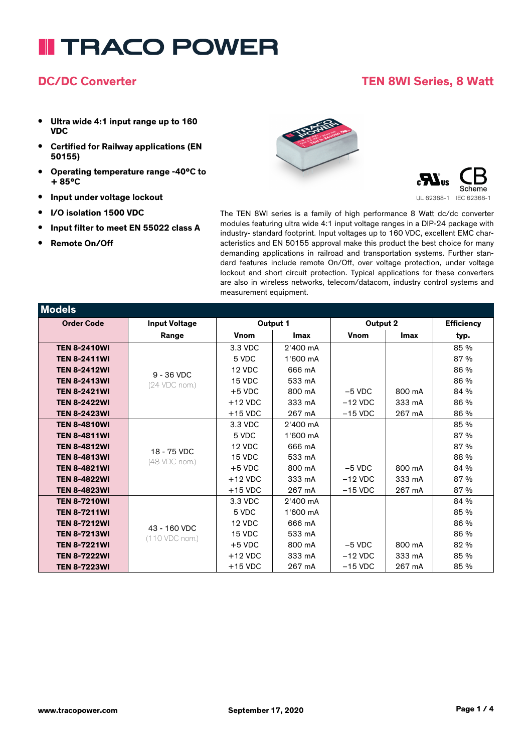### **DC/DC Converter TEN 8WI Series, 8 Watt**

- **• Ultra wide 4:1 input range up to 160 VDC**
- **• Certified for Railway applications (EN 50155)**
- **• Operating temperature range -40°C to + 85°C**
- **• Input under voltage lockout**
- **• I/O isolation 1500 VDC**
- **• Input filter to meet EN 55022 class A**
- **• Remote On/Off**





The TEN 8WI series is a family of high performance 8 Watt dc/dc converter modules featuring ultra wide 4:1 input voltage ranges in a DIP-24 package with industry- standard footprint. Input voltages up to 160 VDC, excellent EMC characteristics and EN 50155 approval make this product the best choice for many demanding applications in railroad and transportation systems. Further standard features include remote On/Off, over voltage protection, under voltage lockout and short circuit protection. Typical applications for these converters are also in wireless networks, telecom/datacom, industry control systems and measurement equipment.

| <b>Models</b>       |                      |             |          |             |        |                   |
|---------------------|----------------------|-------------|----------|-------------|--------|-------------------|
| <b>Order Code</b>   | <b>Input Voltage</b> | Output 1    |          | Output 2    |        | <b>Efficiency</b> |
|                     | Range                | <b>Vnom</b> | Imax     | <b>Vnom</b> | Imax   | typ.              |
| <b>TEN 8-2410WI</b> |                      | 3.3 VDC     | 2'400 mA |             |        | 85 %              |
| <b>TEN 8-2411WI</b> |                      | 5 VDC       | 1'600 mA |             |        | 87 %              |
| <b>TEN 8-2412WI</b> | $9 - 36$ VDC         | 12 VDC      | 666 mA   |             |        | 86 %              |
| <b>TEN 8-2413WI</b> | (24 VDC nom.)        | 15 VDC      | 533 mA   |             |        | 86 %              |
| <b>TEN 8-2421WI</b> |                      | $+5$ VDC    | 800 mA   | $-5$ VDC    | 800 mA | 84 %              |
| <b>TEN 8-2422WI</b> |                      | $+12$ VDC   | 333 mA   | $-12$ VDC   | 333 mA | 86 %              |
| <b>TEN 8-2423WI</b> |                      | $+15$ VDC   | 267 mA   | $-15$ VDC   | 267 mA | 86 %              |
| <b>TEN 8-4810WI</b> |                      | 3.3 VDC     | 2'400 mA |             |        | 85 %              |
| <b>TEN 8-4811WI</b> |                      | 5 VDC       | 1'600 mA |             |        | 87 %              |
| <b>TEN 8-4812WI</b> | 18 - 75 VDC          | 12 VDC      | 666 mA   |             |        | 87 %              |
| <b>TEN 8-4813WI</b> | (48 VDC nom.)        | 15 VDC      | 533 mA   |             |        | 88 %              |
| <b>TEN 8-4821WI</b> |                      | $+5$ VDC    | 800 mA   | $-5$ VDC    | 800 mA | 84 %              |
| <b>TEN 8-4822WI</b> |                      | $+12$ VDC   | 333 mA   | $-12$ VDC   | 333 mA | 87 %              |
| <b>TEN 8-4823WI</b> |                      | $+15$ VDC   | 267 mA   | $-15$ VDC   | 267 mA | 87 %              |
| <b>TEN 8-7210WI</b> |                      | 3.3 VDC     | 2'400 mA |             |        | 84 %              |
| <b>TEN 8-7211WI</b> |                      | 5 VDC       | 1'600 mA |             |        | 85 %              |
| <b>TEN 8-7212WI</b> | 43 - 160 VDC         | 12 VDC      | 666 mA   |             |        | 86 %              |
| <b>TEN 8-7213WI</b> | (110 VDC nom.)       | 15 VDC      | 533 mA   |             |        | 86 %              |
| <b>TEN 8-7221WI</b> |                      | $+5$ VDC    | 800 mA   | $-5$ VDC    | 800 mA | 82 %              |
| <b>TEN 8-7222WI</b> |                      | $+12$ VDC   | 333 mA   | $-12$ VDC   | 333 mA | 85 %              |
| <b>TEN 8-7223WI</b> |                      | $+15$ VDC   | 267 mA   | $-15$ VDC   | 267 mA | 85 %              |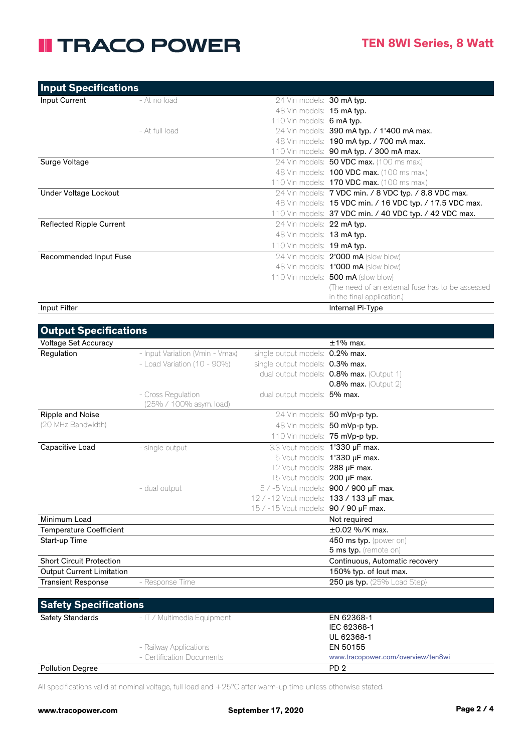| Input Specifications     |                |                              |                                                           |
|--------------------------|----------------|------------------------------|-----------------------------------------------------------|
| Input Current            | - At no load   | 24 Vin models: 30 mA typ.    |                                                           |
|                          |                | 48 Vin models: 15 mA typ.    |                                                           |
|                          |                | 110 Vin models: $6$ mA typ.  |                                                           |
|                          | - At full load |                              | 24 Vin models: 390 mA typ. / 1'400 mA max.                |
|                          |                |                              | 48 Vin models: <b>190 mA typ. / 700 mA max.</b>           |
|                          |                |                              | 110 Vin models: 90 mA typ. / 300 mA max.                  |
| Surge Voltage            |                |                              | 24 Vin models: 50 VDC max. (100 ms max.)                  |
|                          |                |                              | 48 Vin models: <b>100 VDC max.</b> (100 ms max.)          |
|                          |                |                              | 110 Vin models: <b>170 VDC max.</b> (100 ms max.)         |
| Under Voltage Lockout    |                |                              | 24 Vin models: 7 VDC min. / 8 VDC typ. / 8.8 VDC max.     |
|                          |                |                              | 48 Vin models: 15 VDC min. / 16 VDC typ. / 17.5 VDC max.  |
|                          |                |                              | 110 Vin models: $37$ VDC min. / 40 VDC typ. / 42 VDC max. |
| Reflected Ripple Current |                | 24 Vin models: 22 mA typ.    |                                                           |
|                          |                | 48 Vin models: 13 mA typ.    |                                                           |
|                          |                | 110 Vin models: $19$ mA typ. |                                                           |
| Recommended Input Fuse   |                |                              | 24 Vin models: 2'000 mA (slow blow)                       |
|                          |                |                              | 48 Vin models: 1'000 mA (slow blow)                       |
|                          |                |                              | 110 Vin models: 500 mA (slow blow)                        |
|                          |                |                              | (The need of an external fuse has to be assessed)         |
|                          |                |                              | in the final application.)                                |
| Input Filter             |                |                              | Internal Pi-Type                                          |

| <b>Output Specifications</b>     |                                 |                                         |                                          |
|----------------------------------|---------------------------------|-----------------------------------------|------------------------------------------|
| <b>Voltage Set Accuracy</b>      |                                 |                                         | $±1\%$ max.                              |
| Regulation                       | - Input Variation (Vmin - Vmax) | single output models: 0.2% max.         |                                          |
|                                  | $-$ Load Variation (10 - 90%)   | single output models: 0.3% max.         |                                          |
|                                  |                                 |                                         | dual output models: 0.8% max. (Output 1) |
|                                  |                                 |                                         | $0.8\%$ max. (Output 2)                  |
|                                  | - Cross Regulation              | dual output models: 5% max.             |                                          |
|                                  | (25% / 100% asym. load)         |                                         |                                          |
| Ripple and Noise                 |                                 |                                         | 24 Vin models: 50 mVp-p typ.             |
| (20 MHz Bandwidth)               |                                 |                                         | 48 Vin models: 50 mVp-p typ.             |
|                                  |                                 |                                         | 110 Vin models: 75 mVp-p typ.            |
| Capacitive Load                  | - single output                 | 3.3 Vout models: 1'330 µF max.          |                                          |
|                                  |                                 |                                         | 5 Vout models: 1'330 µF max.             |
|                                  |                                 | 12 Vout models: 288 µF max.             |                                          |
|                                  |                                 | 15 Vout models: 200 µF max.             |                                          |
|                                  | - dual output                   |                                         | 5 / -5 Vout models: 900 / 900 µF max.    |
|                                  |                                 | 12 / -12 Vout models: 133 / 133 µF max. |                                          |
|                                  |                                 | 15 / -15 Vout models: 90 / 90 µF max.   |                                          |
| Minimum Load                     |                                 |                                         | Not required                             |
| <b>Temperature Coefficient</b>   |                                 |                                         | $\pm 0.02$ %/K max.                      |
| Start-up Time                    |                                 |                                         | 450 ms typ. (power on)                   |
|                                  |                                 |                                         | 5 ms typ. (remote on)                    |
| <b>Short Circuit Protection</b>  |                                 |                                         | Continuous, Automatic recovery           |
| <b>Output Current Limitation</b> |                                 |                                         | 150% typ. of lout max.                   |
| <b>Transient Response</b>        | - Response Time                 |                                         | 250 $\mu$ s typ. (25% Load Step)         |
|                                  |                                 |                                         |                                          |

| <b>Safety Specifications</b> |                             |                                    |
|------------------------------|-----------------------------|------------------------------------|
| <b>Safety Standards</b>      | - IT / Multimedia Equipment | EN 62368-1                         |
|                              |                             | IEC 62368-1                        |
|                              |                             | UL 62368-1                         |
|                              | - Railway Applications      | EN 50155                           |
|                              | - Certification Documents   | www.tracopower.com/overview/ten8wi |
| <b>Pollution Degree</b>      |                             | PD <sub>2</sub>                    |

All specifications valid at nominal voltage, full load and +25°C after warm-up time unless otherwise stated.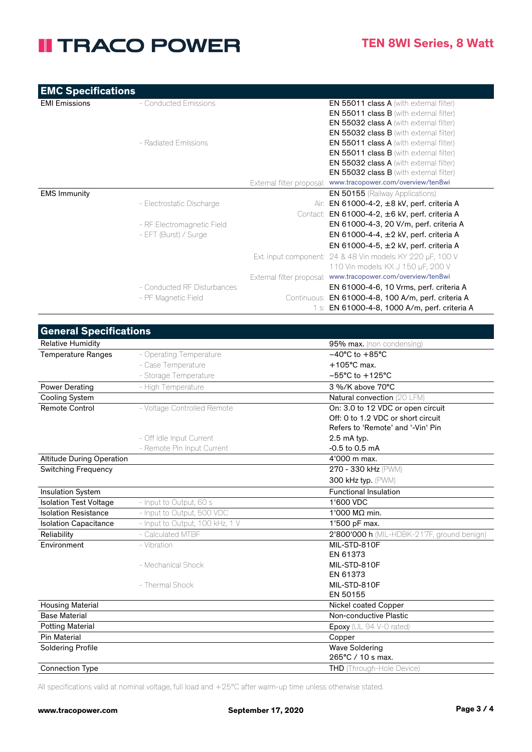| <b>EMC Specifications</b> |
|---------------------------|
|---------------------------|

| <b>EMI Emissions</b> | - Conducted Emissions       |             | <b>EN 55011 class A</b> (with external filter)               |
|----------------------|-----------------------------|-------------|--------------------------------------------------------------|
|                      |                             |             | EN 55011 class B (with external filter)                      |
|                      |                             |             | <b>EN 55032 class A</b> (with external filter)               |
|                      |                             |             | <b>EN 55032 class B</b> (with external filter)               |
|                      | - Radiated Emissions        |             | <b>EN 55011 class A</b> (with external filter)               |
|                      |                             |             | <b>EN 55011 class B</b> (with external filter)               |
|                      |                             |             | <b>EN 55032 class A</b> (with external filter)               |
|                      |                             |             | EN 55032 class B (with external filter)                      |
|                      |                             |             | External filter proposal: www.tracopower.com/overview/ten8wi |
| <b>EMS Immunity</b>  |                             |             | <b>EN 50155</b> (Railway Applications)                       |
|                      | - Electrostatic Discharge   |             | Air: EN 61000-4-2, ±8 kV, perf. criteria A                   |
|                      |                             |             | Contact: EN 61000-4-2, ±6 kV, perf. criteria A               |
|                      | - RF Electromagnetic Field  |             | EN 61000-4-3, 20 V/m, perf. criteria A                       |
|                      | - EFT (Burst) / Surge       |             | EN 61000-4-4, $\pm$ 2 kV, perf. criteria A                   |
|                      |                             |             | EN 61000-4-5, $\pm$ 2 kV, perf. criteria A                   |
|                      |                             |             | Ext. input component: 24 & 48 Vin models: KY 220 µF, 100 V   |
|                      |                             |             | 110 Vin models: KX J 150 µF, 200 V                           |
|                      |                             |             | External filter proposal: www.tracopower.com/overview/ten8wi |
|                      | - Conducted RF Disturbances |             | EN 61000-4-6, 10 Vrms, perf. criteria A                      |
|                      | - PF Magnetic Field         | Continuous: | EN 61000-4-8, 100 A/m, perf. criteria A                      |
|                      |                             |             | 1 s: EN 61000-4-8, 1000 A/m, perf. criteria A                |
|                      |                             |             |                                                              |

| <b>General Specifications</b>    |                                 |                                            |
|----------------------------------|---------------------------------|--------------------------------------------|
| <b>Relative Humidity</b>         |                                 | 95% max. (non condensing)                  |
| <b>Temperature Ranges</b>        | - Operating Temperature         | $-40^{\circ}$ C to $+85^{\circ}$ C         |
|                                  | - Case Temperature              | $+105^{\circ}$ C max.                      |
|                                  | - Storage Temperature           | $-55^{\circ}$ C to $+125^{\circ}$ C        |
| <b>Power Derating</b>            | - High Temperature              | 3 %/K above 70°C                           |
| <b>Cooling System</b>            |                                 | Natural convection (20 LFM)                |
| Remote Control                   | - Voltage Controlled Remote     | On: 3.0 to 12 VDC or open circuit          |
|                                  |                                 | Off: 0 to 1.2 VDC or short circuit         |
|                                  |                                 | Refers to 'Remote' and '-Vin' Pin          |
|                                  | - Off Idle Input Current        | $2.5$ mA typ.                              |
|                                  | - Remote Pin Input Current      | $-0.5$ to $0.5$ mA                         |
| <b>Altitude During Operation</b> |                                 | $4'000$ m max.                             |
| <b>Switching Frequency</b>       |                                 | 270 - 330 kHz (PWM)                        |
|                                  |                                 | 300 kHz typ. (PWM)                         |
| <b>Insulation System</b>         |                                 | <b>Functional Insulation</b>               |
| <b>Isolation Test Voltage</b>    | - Input to Output, 60 s         | 1'600 VDC                                  |
| <b>Isolation Resistance</b>      | - Input to Output, 500 VDC      | 1'000 MΩ min.                              |
| <b>Isolation Capacitance</b>     | - Input to Output, 100 kHz, 1 V | 1'500 pF max.                              |
| Reliability                      | - Calculated MTBF               | 2'800'000 h (MIL-HDBK-217F, ground benign) |
| Environment                      | - Vibration                     | MIL-STD-810F                               |
|                                  |                                 | EN 61373                                   |
|                                  | - Mechanical Shock              | MIL-STD-810F                               |
|                                  |                                 | EN 61373                                   |
|                                  | - Thermal Shock                 | MIL-STD-810F                               |
|                                  |                                 | EN 50155                                   |
| <b>Housing Material</b>          |                                 | Nickel coated Copper                       |
| <b>Base Material</b>             |                                 | Non-conductive Plastic                     |
| <b>Potting Material</b>          |                                 | Epoxy (UL 94 V-0 rated)                    |
| <b>Pin Material</b>              |                                 | Copper                                     |
| <b>Soldering Profile</b>         |                                 | <b>Wave Soldering</b>                      |
|                                  |                                 | 265°C / 10 s max.                          |
| <b>Connection Type</b>           |                                 | THD (Through-Hole Device)                  |

All specifications valid at nominal voltage, full load and +25°C after warm-up time unless otherwise stated.